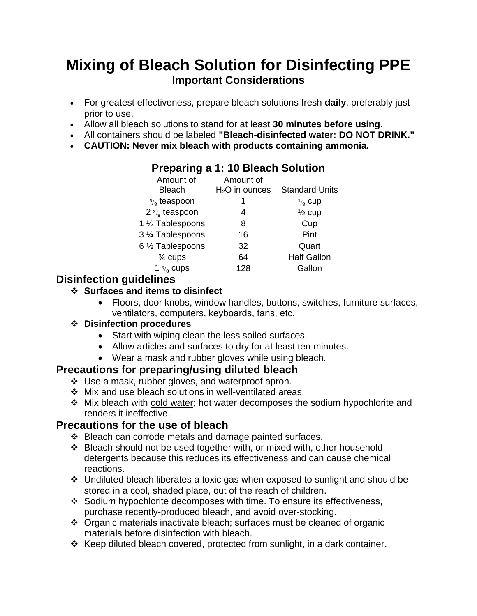# **Mixing of Bleach Solution for Disinfecting PPE Important Considerations**

- For greatest effectiveness, prepare bleach solutions fresh **daily**, preferably just prior to use.
- Allow all bleach solutions to stand for at least **30 minutes before using.**
- All containers should be labeled **"Bleach-disinfected water: DO NOT DRINK."**
- **CAUTION: Never mix bleach with products containing ammonia.**

#### Amount of Bleach Amount of H<sub>2</sub>O in ounces Standard Units  $\frac{5}{8}$  teaspoon 1 /<sub>8</sub> cup 2  $\frac{3}{8}$  teaspoon 4  $\frac{1}{2}$  cup 1 ½ Tablespoons 8 Cup 3 ¼ Tablespoons 16 Pint 6 ½ Tablespoons 32 Quart ¾ cups 64 Half Gallon 1 $\frac{5}{8}$  cups 128 Gallon

### **Disinfection guidelines**

### **Surfaces and items to disinfect**

 Floors, door knobs, window handles, buttons, switches, furniture surfaces, ventilators, computers, keyboards, fans, etc.

### **Disinfection procedures**

- Start with wiping clean the less soiled surfaces.
- Allow articles and surfaces to dry for at least ten minutes.
- Wear a mask and rubber gloves while using bleach.

### **Precautions for preparing/using diluted bleach**

- Use a mask, rubber gloves, and waterproof apron.
- Mix and use bleach solutions in well-ventilated areas.
- Mix bleach with cold water; hot water decomposes the sodium hypochlorite and renders it ineffective.

### **Precautions for the use of bleach**

- ❖ Bleach can corrode metals and damage painted surfaces.
- Bleach should not be used together with, or mixed with, other household detergents because this reduces its effectiveness and can cause chemical reactions.
- Undiluted bleach liberates a toxic gas when exposed to sunlight and should be stored in a cool, shaded place, out of the reach of children.
- Sodium hypochlorite decomposes with time. To ensure its effectiveness, purchase recently-produced bleach, and avoid over-stocking.
- Organic materials inactivate bleach; surfaces must be cleaned of organic materials before disinfection with bleach.
- Keep diluted bleach covered, protected from sunlight, in a dark container.

## **Preparing a 1: 10 Bleach Solution**